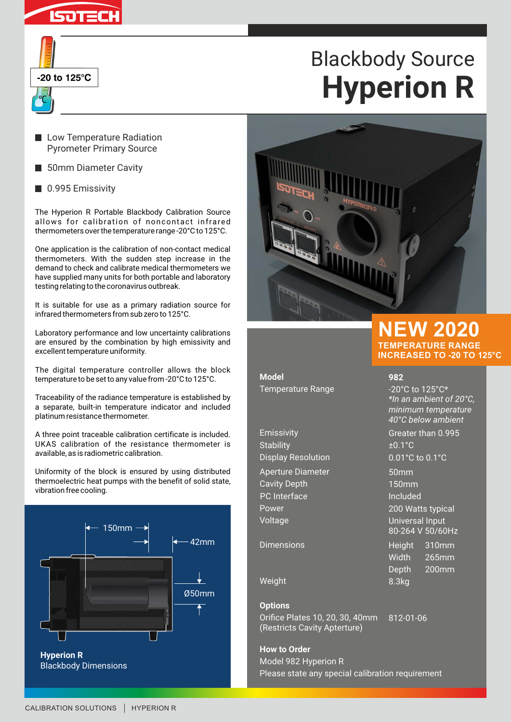

| -20 to 125 $\degree$ C |  |
|------------------------|--|
|                        |  |

# Blackbody Source **Hyperion R**

- **Low Temperature Radiation** Pyrometer Primary Source
- 50mm Diameter Cavity
- 0.995 Emissivity

The Hyperion R Portable Blackbody Calibration Source allows for calibration of noncontact infrared thermometers over the temperature range -20°C to 125°C.

One application is the calibration of non-contact medical thermometers. With the sudden step increase in the demand to check and calibrate medical thermometers we have supplied many units for both portable and laboratory testing relating to the coronavirus outbreak.

It is suitable for use as a primary radiation source for infrared thermometers from sub zero to 125°C.

Laboratory performance and low uncertainty calibrations are ensured by the combination by high emissivity and excellent temperature uniformity.

The digital temperature controller allows the block temperature to be set to any value from -20°C to 125°C.

Traceability of the radiance temperature is established by a separate, built-in temperature indicator and included platinum resistance thermometer.

A three point traceable calibration certificate is included. UKAS calibration of the resistance thermometer is available, as is radiometric calibration.

Uniformity of the block is ensured by using distributed thermoelectric heat pumps with the benefit of solid state, vibration free cooling.





**Model** Temperature Range -20°C to 125°C\*

Emissivity Greater than 0.995 Stability  $\pm 0.1^{\circ}$ C Display Resolution 0.01°C to 0.1°C Aperture Diameter 50mm Cavity Depth 150mm PC Interface Included Power 200 Watts typical Voltage Universal Input

Dimensions **Height 310mm** 

Weight 8.3kg

#### **Options**

Orifice Plates 10, 20, 30, 40mm (Restricts Cavity Apterture) 812-01-06

**How to Order** Model 982 Hyperion R Please state any special calibration requirement

80-264 V 50/60Hz

**982**

**TEMPERATURE RANGE INCREASED TO -20 TO 125°C**

*\*In an ambient of 20°C, minimum temperature 40°C below ambient*

Width 265mm Depth 200mm